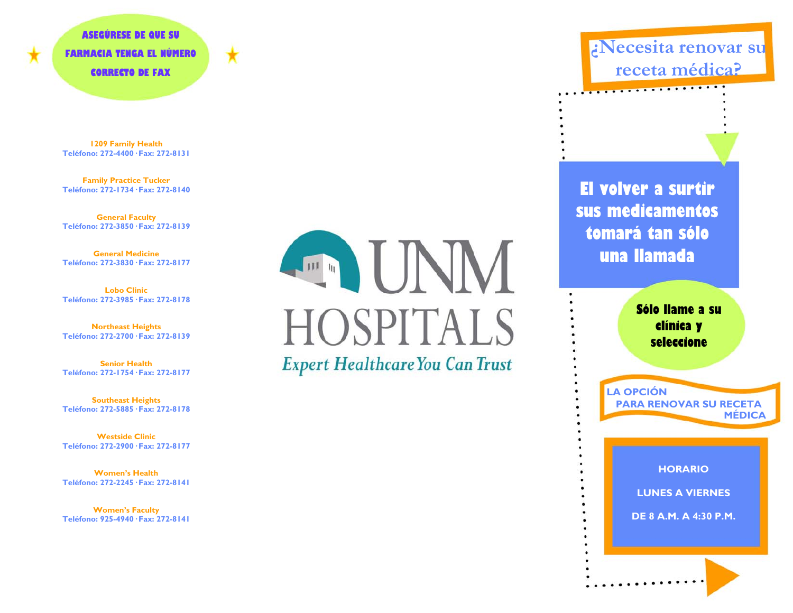**ASEGÚRESE DE QUE SU FARMACIA TENGA EL NÚMERO CORRECTO DE FAX** 

**1209 Family Health Teléfono: 272-4400· Fax: 272-8131**

**Family Practice Tucker Teléfono: 272-1734· Fax: 272-8140**

**General Faculty Teléfono: 272-3850· Fax: 272-8139**

**General MedicineTeléfono: 272-3830· Fax: 272-8177**

**Lobo ClinicTeléfono: 272-3985· Fax: 272-8178**

**Northeast Heights Teléfono: 272-2700· Fax: 272-8139**

**Senior HealthTeléfono: 272-1754· Fax: 272-8177**

**Southeast Heights Teléfono: 272-5885· Fax: 272-8178**

**Westside ClinicTeléfono: 272-2900· Fax: 272-8177** 

**Women's HealthTeléfono: 272-2245· Fax: 272-8141**

**Women's Faculty Teléfono: 925-4940· Fax: 272-8141** 

IINN **ITTLE IN HOSPITALS Expert Healthcare You Can Trust** 

**¿Necesita renovar su receta médica?**

**El volver a surtir sus medicamentos tomará tan sólo una llamada** 

**STATISTICS** 

**Sólo llame a su clínica y seleccione** 

**LA OPCIÓN PARA RENOVAR SU RECETA MÉDICA** 

**HORARIO**

**LUNES A VIERNES** 

**DE 8 A.M. A 4:30 P.M.**